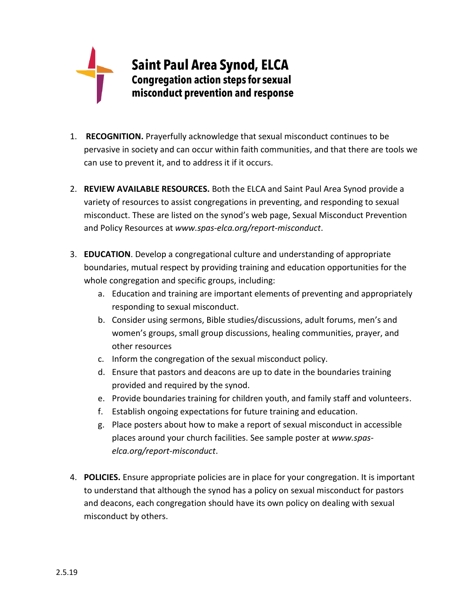

- 1. **RECOGNITION.** Prayerfully acknowledge that sexual misconduct continues to be pervasive in society and can occur within faith communities, and that there are tools we can use to prevent it, and to address it if it occurs.
- 2. **REVIEW AVAILABLE RESOURCES.** Both the ELCA and Saint Paul Area Synod provide a variety of resources to assist congregations in preventing, and responding to sexual misconduct. These are listed on the synod's web page, Sexual Misconduct Prevention and Policy Resources at *www.spas-elca.org/report-misconduct*.
- 3. **EDUCATION**. Develop a congregational culture and understanding of appropriate boundaries, mutual respect by providing training and education opportunities for the whole congregation and specific groups, including:
	- a. Education and training are important elements of preventing and appropriately responding to sexual misconduct.
	- b. Consider using sermons, Bible studies/discussions, adult forums, men's and women's groups, small group discussions, healing communities, prayer, and other resources
	- c. Inform the congregation of the sexual misconduct policy.
	- d. Ensure that pastors and deacons are up to date in the boundaries training provided and required by the synod.
	- e. Provide boundaries training for children youth, and family staff and volunteers.
	- f. Establish ongoing expectations for future training and education.
	- g. Place posters about how to make a report of sexual misconduct in accessible places around your church facilities. See sample poster at *www.spaselca.org/report-misconduct*.
- 4. **POLICIES.** Ensure appropriate policies are in place for your congregation. It is important to understand that although the synod has a policy on sexual misconduct for pastors and deacons, each congregation should have its own policy on dealing with sexual misconduct by others.